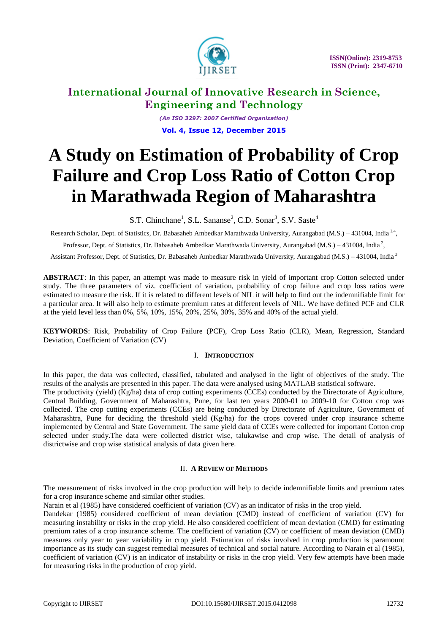

*(An ISO 3297: 2007 Certified Organization)* **Vol. 4, Issue 12, December 2015**

# **A Study on Estimation of Probability of Crop Failure and Crop Loss Ratio of Cotton Crop in Marathwada Region of Maharashtra**

S.T. Chinchane<sup>1</sup>, S.L. Sananse<sup>2</sup>, C.D. Sonar<sup>3</sup>, S.V. Saste<sup>4</sup>

Research Scholar, Dept. of Statistics, Dr. Babasaheb Ambedkar Marathwada University, Aurangabad (M.S.) – 431004, India<sup>1,4</sup>,

Professor, Dept. of Statistics, Dr. Babasaheb Ambedkar Marathwada University, Aurangabad (M.S.) – 431004, India<sup>2</sup>,

Assistant Professor, Dept. of Statistics, Dr. Babasaheb Ambedkar Marathwada University, Aurangabad (M.S.) – 431004, India<sup>3</sup>

**ABSTRACT**: In this paper, an attempt was made to measure risk in yield of important crop Cotton selected under study. The three parameters of viz. coefficient of variation, probability of crop failure and crop loss ratios were estimated to measure the risk. If it is related to different levels of NIL it will help to find out the indemnifiable limit for a particular area. It will also help to estimate premium rates at different levels of NIL. We have defined PCF and CLR at the yield level less than 0%, 5%, 10%, 15%, 20%, 25%, 30%, 35% and 40% of the actual yield.

**KEYWORDS**: Risk, Probability of Crop Failure (PCF), Crop Loss Ratio (CLR), Mean, Regression, Standard Deviation, Coefficient of Variation (CV)

### I. **INTRODUCTION**

In this paper, the data was collected, classified, tabulated and analysed in the light of objectives of the study. The results of the analysis are presented in this paper. The data were analysed using MATLAB statistical software.

The productivity (yield) (Kg/ha) data of crop cutting experiments (CCEs) conducted by the Directorate of Agriculture, Central Building, Government of Maharashtra, Pune, for last ten years 2000-01 to 2009-10 for Cotton crop was collected. The crop cutting experiments (CCEs) are being conducted by Directorate of Agriculture, Government of Maharashtra, Pune for deciding the threshold yield  $(Kg/ha)$  for the crops covered under crop insurance scheme implemented by Central and State Government. The same yield data of CCEs were collected for important Cotton crop selected under study.The data were collected district wise, talukawise and crop wise. The detail of analysis of districtwise and crop wise statistical analysis of data given here.

### II. **A REVIEW OF METHODS**

The measurement of risks involved in the crop production will help to decide indemnifiable limits and premium rates for a crop insurance scheme and similar other studies.

Narain et al (1985) have considered coefficient of variation (CV) as an indicator of risks in the crop yield.

Dandekar (1985) considered coefficient of mean deviation (CMD) instead of coefficient of variation (CV) for measuring instability or risks in the crop yield. He also considered coefficient of mean deviation (CMD) for estimating premium rates of a crop insurance scheme. The coefficient of variation (CV) or coefficient of mean deviation (CMD) measures only year to year variability in crop yield. Estimation of risks involved in crop production is paramount importance as its study can suggest remedial measures of technical and social nature. According to Narain et al (1985), coefficient of variation (CV) is an indicator of instability or risks in the crop yield. Very few attempts have been made for measuring risks in the production of crop yield.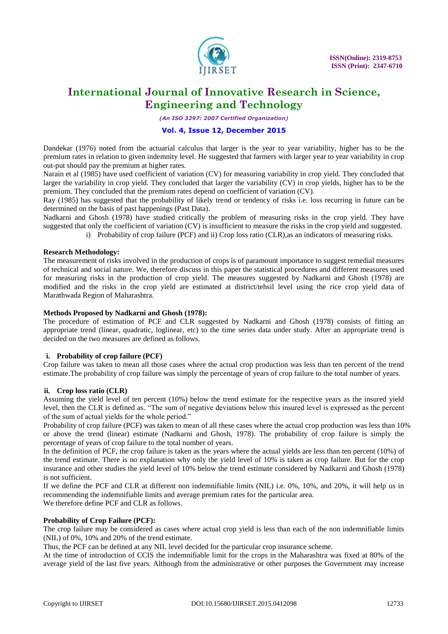

*(An ISO 3297: 2007 Certified Organization)*

### **Vol. 4, Issue 12, December 2015**

Dandekar (1976) noted from the actuarial calculus that larger is the year to year variability, higher has to be the premium rates in relation to given indemnity level. He suggested that farmers with larger year to year variability in crop out-put should pay the premium at higher rates.

Narain et al (1985) have used coefficient of variation (CV) for measuring variability in crop yield. They concluded that larger the variability in crop yield. They concluded that larger the variability (CV) in crop yields, higher has to be the premium. They concluded that the premium rates depend on coefficient of variation (CV).

Ray (1985) has suggested that the probability of likely trend or tendency of risks i.e. loss recurring in future can be determined on the basis of past happenings (Past Data).

Nadkarni and Ghosh (1978) have studied critically the problem of measuring risks in the crop yield. They have suggested that only the coefficient of variation (CV) is insufficient to measure the risks in the crop yield and suggested.

i) Probability of crop failure (PCF) and ii) Crop loss ratio (CLR),as an indicators of measuring risks.

### **Research Methodology:**

The measurement of risks involved in the production of crops is of paramount importance to suggest remedial measures of technical and social nature. We, therefore discuss in this paper the statistical procedures and different measures used for measuring risks in the production of crop yield. The measures suggested by Nadkarni and Ghosh (1978) are modified and the risks in the crop yield are estimated at district/tehsil level using the rice crop yield data of Marathwada Region of Maharashtra.

### **Methods Proposed by Nadkarni and Ghosh (1978):**

The procedure of estimation of PCF and CLR suggested by Nadkarni and Ghosh (1978) consists of fitting an appropriate trend (linear, quadratic, loglinear, etc) to the time series data under study. After an appropriate trend is decided on the two measures are defined as follows.

### **i. Probability of crop failure (PCF)**

Crop failure was taken to mean all those cases where the actual crop production was less than ten percent of the trend estimate.The probability of crop failure was simply the percentage of years of crop failure to the total number of years.

### **ii. Crop loss ratio (CLR)**

Assuming the yield level of ten percent (10%) below the trend estimate for the respective years as the insured yield level, then the CLR is defined as. "The sum of negative deviations below this insured level is expressed as the percent of the sum of actual yields for the whole period."

Probability of crop failure (PCF) was taken to mean of all these cases where the actual crop production was less than 10% or above the trend (linear) estimate (Nadkarni and Ghosh, 1978). The probability of crop failure is simply the percentage of years of crop failure to the total number of years.

In the definition of PCF, the crop failure is taken as the years where the actual yields are less than ten percent (10%) of the trend estimate. There is no explanation why only the yield level of 10% is taken as crop failure. But for the crop insurance and other studies the yield level of 10% below the trend estimate considered by Nadkarni and Ghosh (1978) is not sufficient.

If we define the PCF and CLR at different non indemnifiable limits (NIL) i.e. 0%, 10%, and 20%, it will help us in recommending the indemnifiable limits and average premium rates for the particular area. We therefore define PCF and CLR as follows.

### **Probability of Crop Failure (PCF):**

The crop failure may be considered as cases where actual crop yield is less than each of the non indemnifiable limits (NIL) of 0%, 10% and 20% of the trend estimate.

Thus, the PCF can be defined at any NIL level decided for the particular crop insurance scheme.

At the time of introduction of CCIS the indemnifiable limit for the crops in the Maharashtra was fixed at 80% of the average yield of the last five years. Although from the administrative or other purposes the Government may increase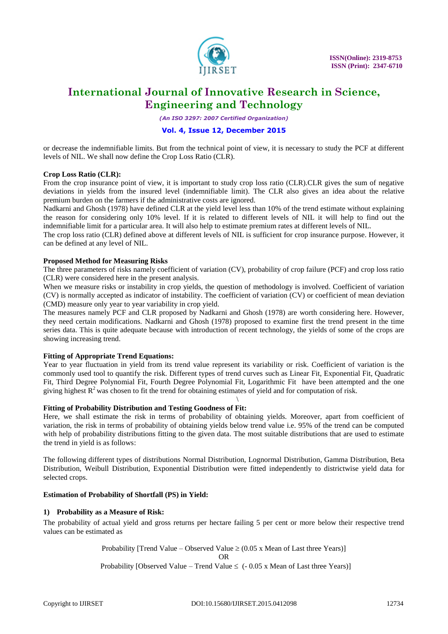

*(An ISO 3297: 2007 Certified Organization)*

### **Vol. 4, Issue 12, December 2015**

or decrease the indemnifiable limits. But from the technical point of view, it is necessary to study the PCF at different levels of NIL. We shall now define the Crop Loss Ratio (CLR).

### **Crop Loss Ratio (CLR):**

From the crop insurance point of view, it is important to study crop loss ratio (CLR).CLR gives the sum of negative deviations in yields from the insured level (indemnifiable limit). The CLR also gives an idea about the relative premium burden on the farmers if the administrative costs are ignored.

Nadkarni and Ghosh (1978) have defined CLR at the yield level less than 10% of the trend estimate without explaining the reason for considering only 10% level. If it is related to different levels of NIL it will help to find out the indemnifiable limit for a particular area. It will also help to estimate premium rates at different levels of NIL.

The crop loss ratio (CLR) defined above at different levels of NIL is sufficient for crop insurance purpose. However, it can be defined at any level of NIL.

### **Proposed Method for Measuring Risks**

The three parameters of risks namely coefficient of variation (CV), probability of crop failure (PCF) and crop loss ratio (CLR) were considered here in the present analysis.

When we measure risks or instability in crop yields, the question of methodology is involved. Coefficient of variation (CV) is normally accepted as indicator of instability. The coefficient of variation (CV) or coefficient of mean deviation (CMD) measure only year to year variability in crop yield.

The measures namely PCF and CLR proposed by Nadkarni and Ghosh (1978) are worth considering here. However, they need certain modifications. Nadkarni and Ghosh (1978) proposed to examine first the trend present in the time series data. This is quite adequate because with introduction of recent technology, the yields of some of the crops are showing increasing trend.

### **Fitting of Appropriate Trend Equations:**

Year to year fluctuation in yield from its trend value represent its variability or risk. Coefficient of variation is the commonly used tool to quantify the risk. Different types of trend curves such as Linear Fit, Exponential Fit, Quadratic Fit, Third Degree Polynomial Fit, Fourth Degree Polynomial Fit, Logarithmic Fit have been attempted and the one giving highest  $R^2$  was chosen to fit the trend for obtaining estimates of yield and for computation of risk.

#### \ **Fitting of Probability Distribution and Testing Goodness of Fit:**

Here, we shall estimate the risk in terms of probability of obtaining yields. Moreover, apart from coefficient of variation, the risk in terms of probability of obtaining yields below trend value i.e. 95% of the trend can be computed with help of probability distributions fitting to the given data. The most suitable distributions that are used to estimate the trend in yield is as follows:

The following different types of distributions Normal Distribution, Lognormal Distribution, Gamma Distribution, Beta Distribution, Weibull Distribution, Exponential Distribution were fitted independently to districtwise yield data for selected crops.

### **Estimation of Probability of Shortfall (PS) in Yield:**

### **1) Probability as a Measure of Risk:**

The probability of actual yield and gross returns per hectare failing 5 per cent or more below their respective trend values can be estimated as

> Probability [Trend Value – Observed Value  $\geq$  (0.05 x Mean of Last three Years)] OR Probability [Observed Value – Trend Value  $\leq$  (- 0.05 x Mean of Last three Years)]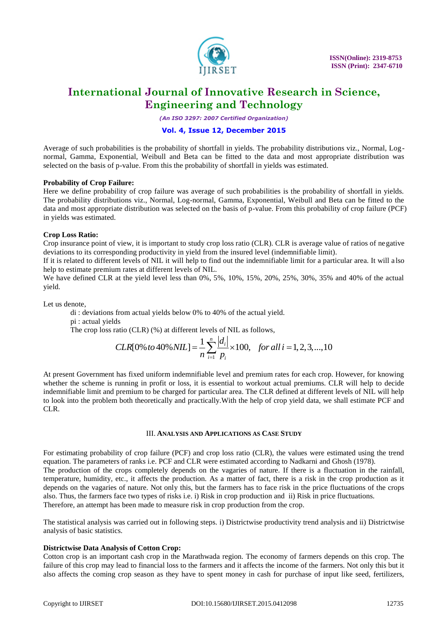

*(An ISO 3297: 2007 Certified Organization)*

### **Vol. 4, Issue 12, December 2015**

Average of such probabilities is the probability of shortfall in yields. The probability distributions viz., Normal, Lognormal, Gamma, Exponential, Weibull and Beta can be fitted to the data and most appropriate distribution was selected on the basis of p-value. From this the probability of shortfall in yields was estimated.

### **Probability of Crop Failure:**

Here we define probability of crop failure was average of such probabilities is the probability of shortfall in yields. The probability distributions viz., Normal, Log-normal, Gamma, Exponential, Weibull and Beta can be fitted to the data and most appropriate distribution was selected on the basis of p-value. From this probability of crop failure (PCF) in yields was estimated.

### **Crop Loss Ratio:**

Crop insurance point of view, it is important to study crop loss ratio (CLR). CLR is average value of ratios of negative deviations to its corresponding productivity in yield from the insured level (indemnifiable limit).

If it is related to different levels of NIL it will help to find out the indemnifiable limit for a particular area. It will a lso help to estimate premium rates at different levels of NIL.

We have defined CLR at the yield level less than 0%, 5%, 10%, 15%, 20%, 25%, 30%, 35% and 40% of the actual yield.

Let us denote,

di : deviations from actual yields below 0% to 40% of the actual yield.

pi : actual yields

The crop loss ratio (CLR) (%) at different levels of NIL as follows,

$$
\begin{aligned}\n\text{d}s & \text{ratio (CLR) } (\%) \text{ at different levels of NIL as follows,} \\
\text{CLR[0% to 40% NIL]} &= \frac{1}{n} \sum_{i=1}^{n} \frac{|d_i|}{p_i} \times 100, \quad \text{for all } i = 1, 2, 3, \dots, 10\n\end{aligned}
$$

At present Government has fixed uniform indemnifiable level and premium rates for each crop. However, for knowing whether the scheme is running in profit or loss, it is essential to workout actual premiums. CLR will help to decide indemnifiable limit and premium to be charged for particular area. The CLR defined at different levels of NIL will help to look into the problem both theoretically and practically.With the help of crop yield data, we shall estimate PCF and CLR.

### III. **ANALYSIS AND APPLICATIONS AS CASE STUDY**

For estimating probability of crop failure (PCF) and crop loss ratio (CLR), the values were estimated using the trend equation. The parameters of ranks i.e. PCF and CLR were estimated according to Nadkarni and Ghosh (1978). The production of the crops completely depends on the vagaries of nature. If there is a fluctuation in the rainfall, temperature, humidity, etc., it affects the production. As a matter of fact, there is a risk in the crop production as it depends on the vagaries of nature. Not only this, but the farmers has to face risk in the price fluctuations of the crops also. Thus, the farmers face two types of risks i.e. i) Risk in crop production and ii) Risk in price fluctuations. Therefore, an attempt has been made to measure risk in crop production from the crop.

The statistical analysis was carried out in following steps. i) Districtwise productivity trend analysis and ii) Districtwise analysis of basic statistics.

### **Districtwise Data Analysis of Cotton Crop:**

Cotton crop is an important cash crop in the Marathwada region. The economy of farmers depends on this crop. The failure of this crop may lead to financial loss to the farmers and it affects the income of the farmers. Not only this but it also affects the coming crop season as they have to spent money in cash for purchase of input like seed, fertilizers,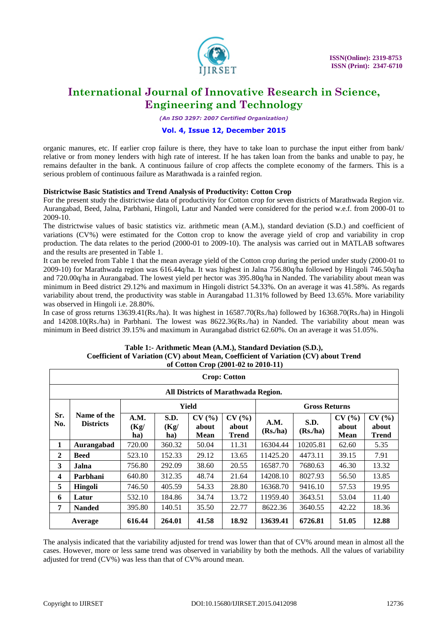

*(An ISO 3297: 2007 Certified Organization)*

### **Vol. 4, Issue 12, December 2015**

organic manures, etc. If earlier crop failure is there, they have to take loan to purchase the input either from bank/ relative or from money lenders with high rate of interest. If he has taken loan from the banks and unable to pay, he remains defaulter in the bank. A continuous failure of crop affects the complete economy of the farmers. This is a serious problem of continuous failure as Marathwada is a rainfed region.

### **Districtwise Basic Statistics and Trend Analysis of Productivity: Cotton Crop**

For the present study the districtwise data of productivity for Cotton crop for seven districts of Marathwada Region viz. Aurangabad, Beed, Jalna, Parbhani, Hingoli, Latur and Nanded were considered for the period w.e.f. from 2000-01 to 2009-10.

The districtwise values of basic statistics viz. arithmetic mean (A.M.), standard deviation (S.D.) and coefficient of variations (CV%) were estimated for the Cotton crop to know the average yield of crop and variability in crop production. The data relates to the period (2000-01 to 2009-10). The analysis was carried out in MATLAB softwares and the results are presented in Table 1.

It can be reveled from Table 1 that the mean average yield of the Cotton crop during the period under study (2000-01 to 2009-10) for Marathwada region was 616.44q/ha. It was highest in Jalna 756.80q/ha followed by Hingoli 746.50q/ha and 720.00q/ha in Aurangabad. The lowest yield per hector was 395.80q/ha in Nanded. The variability about mean was minimum in Beed district 29.12% and maximum in Hingoli district 54.33%. On an average it was 41.58%. As regards variability about trend, the productivity was stable in Aurangabad 11.31% followed by Beed 13.65%. More variability was observed in Hingoli i.e. 28.80%.

In case of gross returns 13639.41(Rs./ha). It was highest in 16587.70(Rs./ha) followed by 16368.70(Rs./ha) in Hingoli and 14208.10(Rs./ha) in Parbhani. The lowest was 8622.36(Rs./ha) in Nanded. The variability about mean was minimum in Beed district 39.15% and maximum in Aurangabad district 62.60%. On an average it was 51.05%.

#### **Table 1:- Arithmetic Mean (A.M.), Standard Deviation (S.D.), Coefficient of Variation (CV) about Mean, Coefficient of Variation (CV) about Trend of Cotton Crop (2001-02 to 2010-11)**

|                         | <b>Crop: Cotton</b>                 |                     |                     |                       |                         |                 |                               |                        |                                |  |  |  |  |
|-------------------------|-------------------------------------|---------------------|---------------------|-----------------------|-------------------------|-----------------|-------------------------------|------------------------|--------------------------------|--|--|--|--|
|                         | All Districts of Marathwada Region. |                     |                     |                       |                         |                 |                               |                        |                                |  |  |  |  |
|                         |                                     |                     |                     | Yield                 | <b>Gross Returns</b>    |                 |                               |                        |                                |  |  |  |  |
| Sr.<br>No.              | Name of the<br><b>Districts</b>     | A.M.<br>(Kg)<br>ha) | S.D.<br>(Kg)<br>ha) | CV(%<br>about<br>Mean | CV(%)<br>about<br>Trend | A.M.<br>(Rs/ha) | S.D.<br>(Rs <sub>n</sub> /ha) | CV(%)<br>about<br>Mean | CV(%)<br>about<br><b>Trend</b> |  |  |  |  |
| 1                       | Aurangabad                          | 720.00              | 360.32              | 50.04                 | 11.31                   | 16304.44        | 10205.81                      | 62.60                  | 5.35                           |  |  |  |  |
| $\overline{2}$          | <b>Beed</b>                         | 523.10              | 152.33              | 29.12                 | 13.65                   | 11425.20        | 4473.11                       | 39.15                  | 7.91                           |  |  |  |  |
| 3                       | Jalna                               | 756.80              | 292.09              | 38.60                 | 20.55                   | 16587.70        | 7680.63                       | 46.30                  | 13.32                          |  |  |  |  |
| $\overline{\mathbf{4}}$ | Parbhani                            | 640.80              | 312.35              | 48.74                 | 21.64                   | 14208.10        | 8027.93                       | 56.50                  | 13.85                          |  |  |  |  |
| 5                       | Hingoli                             | 746.50              | 405.59              | 54.33                 | 28.80                   | 16368.70        | 9416.10                       | 57.53                  | 19.95                          |  |  |  |  |
| 6                       | Latur                               | 532.10              | 184.86              | 34.74                 | 13.72                   | 11959.40        | 3643.51                       | 53.04                  | 11.40                          |  |  |  |  |
| 7                       | <b>Nanded</b>                       | 395.80              | 140.51              | 35.50                 | 22.77                   | 8622.36         | 3640.55                       | 42.22                  | 18.36                          |  |  |  |  |
| Average                 |                                     | 616.44              | 264.01              | 41.58                 | 18.92                   | 13639.41        | 6726.81                       | 51.05                  | 12.88                          |  |  |  |  |

The analysis indicated that the variability adjusted for trend was lower than that of CV% around mean in almost all the cases. However, more or less same trend was observed in variability by both the methods. All the values of variability adjusted for trend (CV%) was less than that of CV% around mean.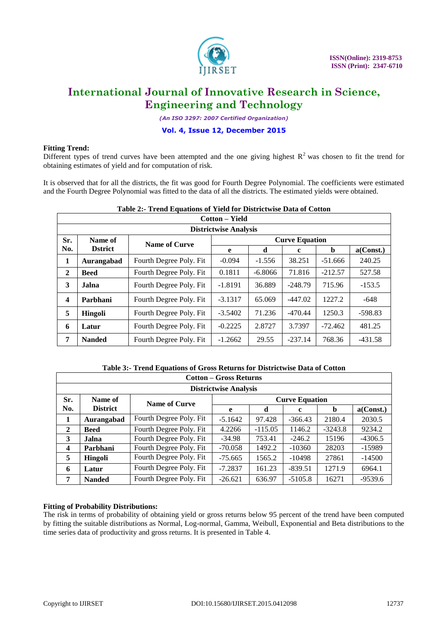

٦

### **International Journal of Innovative Research in Science, Engineering and Technology**

*(An ISO 3297: 2007 Certified Organization)*

### **Vol. 4, Issue 12, December 2015**

### **Fitting Trend:**

 $\mathsf{r}$ 

Different types of trend curves have been attempted and the one giving highest  $R^2$  was chosen to fit the trend for obtaining estimates of yield and for computation of risk.

It is observed that for all the districts, the fit was good for Fourth Degree Polynomial. The coefficients were estimated and the Fourth Degree Polynomial was fitted to the data of all the districts. The estimated yields were obtained.

#### **Table 2:- Trend Equations of Yield for Districtwise Data of Cotton Cotton – Yield**

|              | $\mathbf{U}$ ululu $\mathbf{U} = \mathbf{I}$ ieiti |                          |           |           |                       |           |           |  |  |  |  |
|--------------|----------------------------------------------------|--------------------------|-----------|-----------|-----------------------|-----------|-----------|--|--|--|--|
|              | <b>Districtwise Analysis</b>                       |                          |           |           |                       |           |           |  |  |  |  |
| Sr.          | Name of                                            | Name of Curve            |           |           | <b>Curve Equation</b> |           |           |  |  |  |  |
| No.          | <b>D</b> strict                                    |                          | e         | d         | c                     | b         | a(Const.) |  |  |  |  |
| 1            | Aurangabad                                         | Fourth Degree Poly. Fit  | $-0.094$  | $-1.556$  | 38.251                | $-51.666$ | 240.25    |  |  |  |  |
| $\mathbf{2}$ | <b>Beed</b>                                        | Fourth Degree Poly. Fit  | 0.1811    | $-6.8066$ | 71.816                | $-212.57$ | 527.58    |  |  |  |  |
| 3            | Jalna                                              | Fourth Degree Poly. Fit  | $-1.8191$ | 36.889    | $-248.79$             | 715.96    | $-153.5$  |  |  |  |  |
| 4            | Parbhani                                           | Fourth Degree Poly. Fit. | $-3.1317$ | 65.069    | $-447.02$             | 1227.2    | $-648$    |  |  |  |  |
| 5            | <b>Hingoli</b>                                     | Fourth Degree Poly. Fit  | $-3.5402$ | 71.236    | $-470.44$             | 1250.3    | $-598.83$ |  |  |  |  |
| 6            | Latur                                              | Fourth Degree Poly. Fit  | $-0.2225$ | 2.8727    | 3.7397                | $-72.462$ | 481.25    |  |  |  |  |
| 7            | <b>Nanded</b>                                      | Fourth Degree Poly. Fit  | $-1.2662$ | 29.55     | $-237.14$             | 768.36    | $-431.58$ |  |  |  |  |

### **Table 3:- Trend Equations of Gross Returns for Districtwise Data of Cotton**

|                  | <b>Cotton – Gross Returns</b> |                         |           |                       |             |           |           |  |  |  |  |
|------------------|-------------------------------|-------------------------|-----------|-----------------------|-------------|-----------|-----------|--|--|--|--|
|                  | <b>Districtwise Analysis</b>  |                         |           |                       |             |           |           |  |  |  |  |
| Sr.<br>Name of   |                               | <b>Name of Curve</b>    |           | <b>Curve Equation</b> |             |           |           |  |  |  |  |
| No.              | <b>District</b>               |                         | e         | d                     | $\mathbf c$ | b         | a(Const.) |  |  |  |  |
| 1                | Aurangabad                    | Fourth Degree Poly. Fit | $-5.1642$ | 97.428                | $-366.43$   | 2180.4    | 2030.5    |  |  |  |  |
| 2                | <b>Beed</b>                   | Fourth Degree Poly. Fit | 4.2266    | $-115.05$             | 1146.2      | $-3243.8$ | 9234.2    |  |  |  |  |
| 3                | <b>Jalna</b>                  | Fourth Degree Poly. Fit | $-34.98$  | 753.41                | $-246.2$    | 15196     | $-4306.5$ |  |  |  |  |
| $\boldsymbol{4}$ | Parbhani                      | Fourth Degree Poly. Fit | $-70.058$ | 1492.2                | $-10360$    | 28203     | $-15989$  |  |  |  |  |
| 5                | Hingoli                       | Fourth Degree Poly. Fit | $-75.665$ | 1565.2                | $-10498$    | 27861     | $-14500$  |  |  |  |  |
| 6                | Latur                         | Fourth Degree Poly. Fit | $-7.2837$ | 161.23                | $-839.51$   | 1271.9    | 6964.1    |  |  |  |  |
| 7                | <b>Nanded</b>                 | Fourth Degree Poly. Fit | $-26.621$ | 636.97                | $-5105.8$   | 16271     | $-9539.6$ |  |  |  |  |

### **Fitting of Probability Distributions:**

The risk in terms of probability of obtaining yield or gross returns below 95 percent of the trend have been computed by fitting the suitable distributions as Normal, Log-normal, Gamma, Weibull, Exponential and Beta distributions to the time series data of productivity and gross returns. It is presented in Table 4.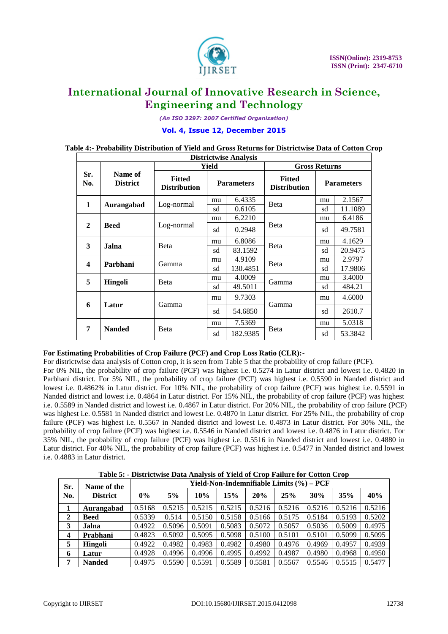

*(An ISO 3297: 2007 Certified Organization)*

### **Vol. 4, Issue 12, December 2015**

#### **Districtwise Analysis Sr. No. Name of District Yield Gross Returns Fitted Parameters** Fitted **Distribution Parameters Distribution Distribution Parameters 1 Aurangabad** Log-normal  $\begin{array}{|c|c|c|c|c|c|c|c|c|}\n\hline\n1 & 6.4335 & \text{Beta} & \text{mu} & 2.1567 \\
\hline\n\end{array}$  $\frac{\text{ma}}{\text{sd}} = \frac{0.4333}{0.6105}$  Beta  $\frac{\text{ma}}{\text{sd}} = \frac{2.1307}{11.1089}$ **2 Beed** Log-normal mu 6.2210 Beta mu 6.4186  $sd$  0.2948  $s$   $684$   $sd$   $sd$  49.7581 **3 Jalna** Beta mu 6.8086 Beta mu 4.1629  $\frac{\text{m}}{\text{sd}}$  83.1592 Beta sd 20.9475 **4 Parbhani** Gamma mu 4.9109 Beta mu 2.9797  $\frac{\text{ma}}{\text{sd}}$  130.4851 Beta  $\frac{\text{ma}}{\text{sd}}$  17.9806 **5 Hingoli** Beta  $\begin{array}{|c|c|c|c|c|c|}\n\hline\n5 & \text{Higgs} & \text{Beta} & \text{SUS} & \text{SUS} & \text{SUS} & \text{SUS} & \text{SUS} & \text{SUS} & \text{SUS} & \text{SUS} & \text{SUS} & \text{SUS} & \text{SUS} & \text{SUS} & \text{SUS} & \text{SUS} & \text{SUS} & \text{SUS} & \text{SUS} & \text{SUS} & \text{SUS} & \text{SUS} & \text{SUS} & \text{SUS} & \text{SUS} & \$  $\frac{\text{m}}{\text{sd}}$  49.5011 Gamma  $\frac{\text{m}}{\text{sd}}$  484.21

mu 9.7303

mu | 7.5369

Gamma

Beta

 $sd$  54.6850  $sd$  sd 2610.7

 $sd$  182.9385  $\vert$  <sup>Deta</sup>  $sd$  53.3842

mu 4.6000

mu 5.0318

### **Table 4:- Probability Distribution of Yield and Gross Returns for Districtwise Data of Cotton Crop**

### **For Estimating Probabilities of Crop Failure (PCF) and Crop Loss Ratio (CLR):-**

**6 Latur** Gamma

**7 Nanded** Beta

For districtwise data analysis of Cotton crop, it is seen from Table 5 that the probability of crop failure (PCF). For 0% NIL, the probability of crop failure (PCF) was highest i.e. 0.5274 in Latur district and lowest i.e. 0.4820 in Parbhani district. For 5% NIL, the probability of crop failure (PCF) was highest i.e. 0.5590 in Nanded district and lowest i.e. 0.4862% in Latur district. For 10% NIL, the probability of crop failure (PCF) was highest i.e. 0.5591 in Nanded district and lowest i.e. 0.4864 in Latur district. For 15% NIL, the probability of crop failure (PCF) was highest i.e. 0.5589 in Nanded district and lowest i.e. 0.4867 in Latur district. For 20% NIL, the probability of crop failure (PCF) was highest i.e. 0.5581 in Nanded district and lowest i.e. 0.4870 in Latur district. For 25% NIL, the probability of crop failure (PCF) was highest i.e. 0.5567 in Nanded district and lowest i.e. 0.4873 in Latur district. For 30% NIL, the probability of crop failure (PCF) was highest i.e. 0.5546 in Nanded district and lowest i.e. 0.4876 in Latur district. For 35% NIL, the probability of crop failure (PCF) was highest i.e. 0.5516 in Nanded district and lowest i.e. 0.4880 in Latur district. For 40% NIL, the probability of crop failure (PCF) was highest i.e. 0.5477 in Nanded district and lowest i.e. 0.4883 in Latur district.

**Table 5: - Districtwise Data Analysis of Yield of Crop Failure for Cotton Crop**

| Sr. | Name of the     | Yield-Non-Indemnifiable Limits (%) – PCF |        |        |        |        |        |        |        |        |
|-----|-----------------|------------------------------------------|--------|--------|--------|--------|--------|--------|--------|--------|
| No. | <b>District</b> | $0\%$                                    | 5%     | 10%    | 15%    | 20%    | 25%    | 30%    | 35%    | 40%    |
|     | Aurangabad      | 0.5168                                   | 0.5215 | 0.5215 | 0.5215 | 0.5216 | 0.5216 | 0.5216 | 0.5216 | 0.5216 |
| 2   | <b>Beed</b>     | 0.5339                                   | 0.514  | 0.5150 | 0.5158 | 0.5166 | 0.5175 | 0.5184 | 0.5193 | 0.5202 |
| 3   | Jalna           | 0.4922                                   | 0.5096 | 0.5091 | 0.5083 | 0.5072 | 0.5057 | 0.5036 | 0.5009 | 0.4975 |
| 4   | Prabhani        | 0.4823                                   | 0.5092 | 0.5095 | 0.5098 | 0.5100 | 0.5101 | 0.5101 | 0.5099 | 0.5095 |
| 5   | Hingoli         | 0.4922                                   | 0.4982 | 0.4983 | 0.4982 | 0.4980 | 0.4976 | 0.4969 | 0.4957 | 0.4939 |
| 6   | Latur           | 0.4928                                   | 0.4996 | 0.4996 | 0.4995 | 0.4992 | 0.4987 | 0.4980 | 0.4968 | 0.4950 |
| 7   | <b>Nanded</b>   | 0.4975                                   | 0.5590 | 0.5591 | 0.5589 | 0.5581 | 0.5567 | 0.5546 | 0.5515 | 0.5477 |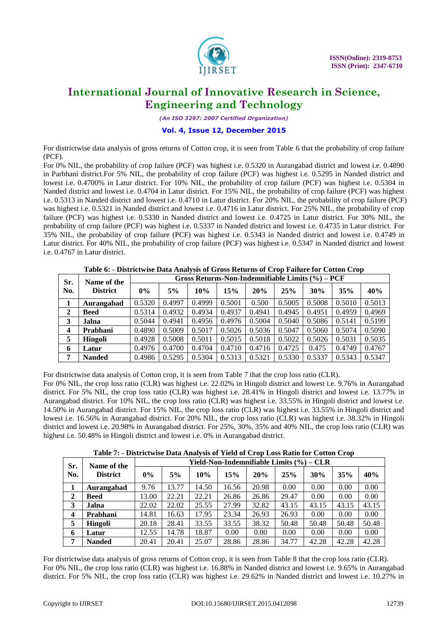

*(An ISO 3297: 2007 Certified Organization)*

### **Vol. 4, Issue 12, December 2015**

For districtwise data analysis of gross returns of Cotton crop, it is seen from Table 6 that the probability of crop failure (PCF).

For 0% NIL, the probability of crop failure (PCF) was highest i.e. 0.5320 in Aurangabad district and lowest i.e. 0.4890 in Parbhani district.For 5% NIL, the probability of crop failure (PCF) was highest i.e. 0.5295 in Nanded district and lowest i.e. 0.4700% in Latur district. For 10% NIL, the probability of crop failure (PCF) was highest i.e. 0.5304 in Nanded district and lowest i.e. 0.4704 in Latur district. For 15% NIL, the probability of crop failure (PCF) was highest i.e. 0.5313 in Nanded district and lowest i.e. 0.4710 in Latur district. For 20% NIL, the probability of crop failure (PCF) was highest i.e. 0.5321 in Nanded district and lowest i.e. 0.4716 in Latur district. For 25% NIL, the probability of crop failure (PCF) was highest i.e. 0.5330 in Nanded district and lowest i.e. 0.4725 in Latur district. For 30% NIL, the probability of crop failure (PCF) was highest i.e. 0.5337 in Nanded district and lowest i.e. 0.4735 in Latur district. For 35% NIL, the probability of crop failure (PCF) was highest i.e. 0.5343 in Nanded district and lowest i.e. 0.4749 in Latur district. For 40% NIL, the probability of crop failure (PCF) was highest i.e. 0.5347 in Nanded district and lowest i.e. 0.4767 in Latur district.

| Sr.                     | Name of the     | Gross Returns-Non-Indemnifiable Limits (%) – PCF |        |        |        |        |        |        |        |        |  |
|-------------------------|-----------------|--------------------------------------------------|--------|--------|--------|--------|--------|--------|--------|--------|--|
| No.                     | <b>District</b> | $0\%$                                            | 5%     | 10%    | 15%    | 20%    | 25%    | 30%    | 35%    | 40%    |  |
|                         | Aurangabad      | 0.5320                                           | 0.4997 | 0.4999 | 0.5001 | 0.500  | 0.5005 | 0.5008 | 0.5010 | 0.5013 |  |
| $\mathbf{2}$            | <b>Beed</b>     | 0.5314                                           | 0.4932 | 0.4934 | 0.4937 | 0.4941 | 0.4945 | 0.4951 | 0.4959 | 0.4969 |  |
| 3                       | Jalna           | 0.5044                                           | 0.4941 | 0.4956 | 0.4976 | 0.5004 | 0.5040 | 0.5086 | 0.5141 | 0.5199 |  |
| $\overline{\mathbf{4}}$ | Prabhani        | 0.4890                                           | 0.5009 | 0.5017 | 0.5026 | 0.5036 | 0.5047 | 0.5060 | 0.5074 | 0.5090 |  |
| 5                       | Hingoli         | 0.4928                                           | 0.5008 | 0.5011 | 0.5015 | 0.5018 | 0.5022 | 0.5026 | 0.5031 | 0.5035 |  |
| 6                       | Latur           | 0.4976                                           | 0.4700 | 0.4704 | 0.4710 | 0.4716 | 0.4725 | 0.475  | 0.4749 | 0.4767 |  |
| 7                       | <b>Nanded</b>   | 0.4986                                           | 0.5295 | 0.5304 | 0.5313 | 0.5321 | 0.5330 | 0.5337 | 0.5343 | 0.5347 |  |

**Table 6: - Districtwise Data Analysis of Gross Returns of Crop Failure for Cotton Crop**

For districtwise data analysis of Cotton crop, it is seen from Table 7 that the crop loss ratio (CLR).

For 0% NIL, the crop loss ratio (CLR) was highest i.e. 22.02% in Hingoli district and lowest i.e. 9.76% in Aurangabad district. For 5% NIL, the crop loss ratio (CLR) was highest i.e. 28.41% in Hingoli district and lowest i.e. 13.77% in Aurangabad district. For 10% NIL, the crop loss ratio (CLR) was highest i.e. 33.55% in Hingoli district and lowest i.e. 14.50% in Aurangabad district. For 15% NIL, the crop loss ratio (CLR) was highest i.e. 33.55% in Hingoli district and lowest i.e. 16.56% in Aurangabad district. For 20% NIL, the crop loss ratio (CLR) was highest i.e. 38.32% in Hingoli district and lowest i.e. 20.98% in Aurangabad district. For 25%, 30%, 35% and 40% NIL, the crop loss ratio (CLR) was highest i.e. 50.48% in Hingoli district and lowest i.e. 0% in Aurangabad district.

**Table 7: - Districtwise Data Analysis of Yield of Crop Loss Ratio for Cotton Crop**

| Sr.                     | Name of the     |       |       |       | Yield-Non-Indemnifiable Limits $(\%)-CLR$ |       |       |       |       |       |  |  |  |  |  |  |
|-------------------------|-----------------|-------|-------|-------|-------------------------------------------|-------|-------|-------|-------|-------|--|--|--|--|--|--|
| No.                     | <b>District</b> | $0\%$ | 5%    | 10%   | 15%                                       | 20%   | 25%   | 30%   | 35%   | 40%   |  |  |  |  |  |  |
|                         | Aurangabad      | 9.76  | 13.77 | 14.50 | 16.56                                     | 20.98 | 0.00  | 0.00  | 0.00  | 0.00  |  |  |  |  |  |  |
| $\mathbf{2}$            | <b>Beed</b>     | 13.00 | 22.21 | 22.21 | 26.86                                     | 26.86 | 29.47 | 0.00  | 0.00  | 0.00  |  |  |  |  |  |  |
| 3                       | Jalna           | 22.02 | 22.02 | 25.55 | 27.99                                     | 32.82 | 43.15 | 43.15 | 43.15 | 43.15 |  |  |  |  |  |  |
| $\overline{\mathbf{4}}$ | Prabhani        | 14.81 | 16.63 | 17.95 | 23.34                                     | 26.93 | 26.93 | 0.00  | 0.00  | 0.00  |  |  |  |  |  |  |
| 5                       | <b>Hingoli</b>  | 20.18 | 28.41 | 33.55 | 33.55                                     | 38.32 | 50.48 | 50.48 | 50.48 | 50.48 |  |  |  |  |  |  |
| 6                       | Latur           | 12.55 | 14.78 | 18.87 | 0.00                                      | 0.00  | 0.00  | 0.00  | 0.00  | 0.00  |  |  |  |  |  |  |
| 7                       | <b>Nanded</b>   | 20.41 | 20.41 | 25.07 | 28.86                                     | 28.86 | 34.77 | 42.28 | 42.28 | 42.28 |  |  |  |  |  |  |

For districtwise data analysis of gross returns of Cotton crop, it is seen from Table 8 that the crop loss ratio (CLR). For 0% NIL, the crop loss ratio (CLR) was highest i.e. 16.88% in Nanded district and lowest i.e. 9.65% in Aurangabad district. For 5% NIL, the crop loss ratio (CLR) was highest i.e. 29.62% in Nanded district and lowest i.e. 10.27% in